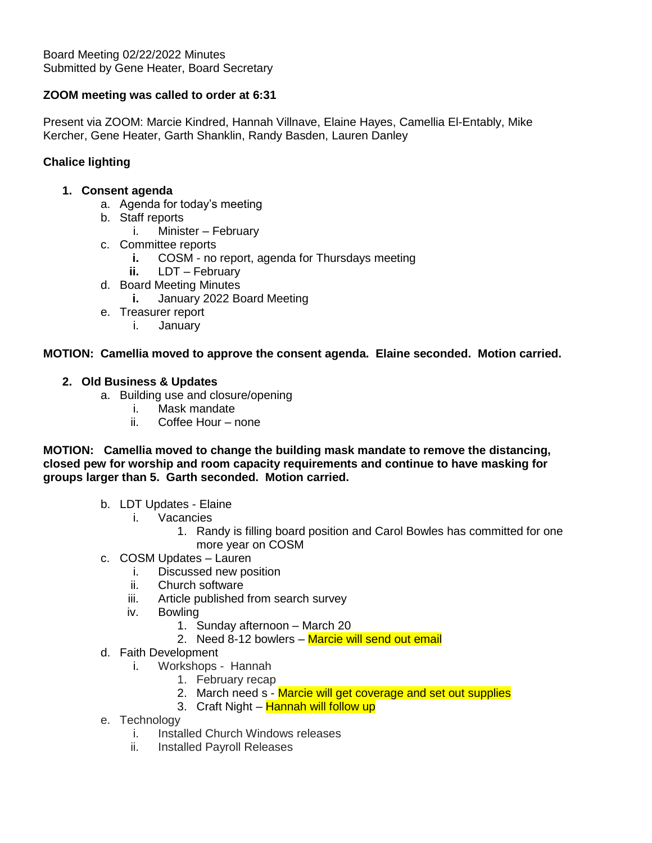# **ZOOM meeting was called to order at 6:31**

Present via ZOOM: Marcie Kindred, Hannah Villnave, Elaine Hayes, Camellia El-Entably, Mike Kercher, Gene Heater, Garth Shanklin, Randy Basden, Lauren Danley

# **Chalice lighting**

## **1. Consent agenda**

- a. Agenda for today's meeting
- b. Staff reports
	- i. Minister February
- c. Committee reports
	- **i.** COSM no report, agenda for Thursdays meeting
	- **ii.** LDT February
- d. Board Meeting Minutes
	- **i.** January 2022 Board Meeting
- e. Treasurer report
	- i. January

## **MOTION: Camellia moved to approve the consent agenda. Elaine seconded. Motion carried.**

## **2. Old Business & Updates**

- a. Building use and closure/opening
	- i. Mask mandate
	- ii. Coffee Hour none

**MOTION: Camellia moved to change the building mask mandate to remove the distancing, closed pew for worship and room capacity requirements and continue to have masking for groups larger than 5. Garth seconded. Motion carried.**

- b. LDT Updates Elaine
	- i. Vacancies
		- 1. Randy is filling board position and Carol Bowles has committed for one more year on COSM
- c. COSM Updates Lauren
	- i. Discussed new position
	- ii. Church software
	- iii. Article published from search survey
	- iv. Bowling
		- 1. Sunday afternoon March 20
			- 2. Need 8-12 bowlers Marcie will send out email
- d. Faith Development
	- i. Workshops Hannah
		- 1. February recap
		- 2. March need s Marcie will get coverage and set out supplies
		- 3. Craft Night Hannah will follow up
- e. Technology
	- i. Installed Church Windows releases
	- ii. Installed Payroll Releases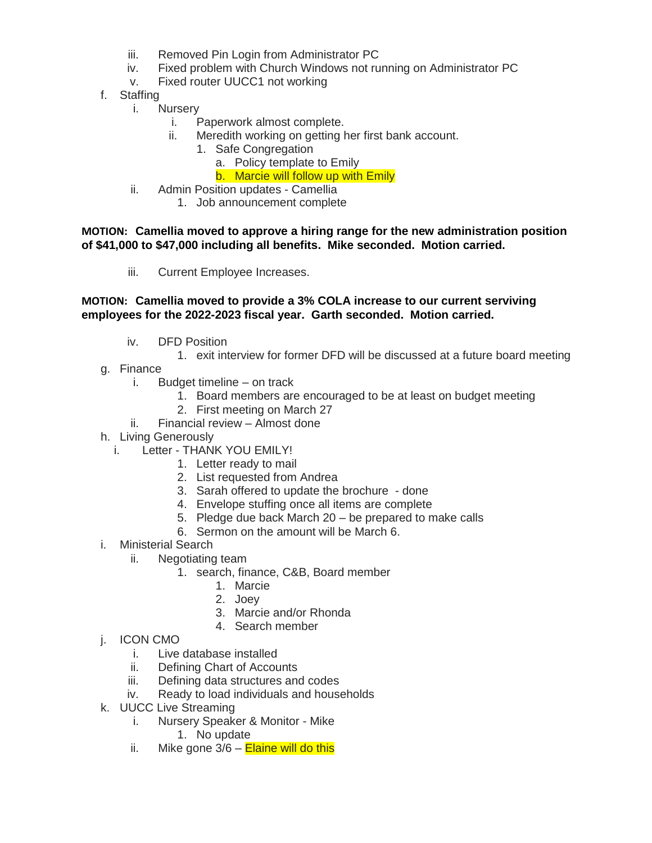- iii. Removed Pin Login from Administrator PC
- iv. Fixed problem with Church Windows not running on Administrator PC
- v. Fixed router UUCC1 not working
- f. Staffing
	- i. Nursery
		- i. Paperwork almost complete.
		- ii. Meredith working on getting her first bank account.
			- 1. Safe Congregation
				- a. Policy template to Emily
				- b. Marcie will follow up with Emily
	- ii. Admin Position updates Camellia
		- 1. Job announcement complete

## **MOTION: Camellia moved to approve a hiring range for the new administration position of \$41,000 to \$47,000 including all benefits. Mike seconded. Motion carried.**

iii. Current Employee Increases.

## **MOTION: Camellia moved to provide a 3% COLA increase to our current serviving employees for the 2022-2023 fiscal year. Garth seconded. Motion carried.**

- iv. DFD Position
	- 1. exit interview for former DFD will be discussed at a future board meeting
- g. Finance
	- i. Budget timeline on track
		- 1. Board members are encouraged to be at least on budget meeting
		- 2. First meeting on March 27
	- ii. Financial review Almost done
- h. Living Generously
	- i. Letter THANK YOU EMILY!
		- 1. Letter ready to mail
		- 2. List requested from Andrea
		- 3. Sarah offered to update the brochure done
		- 4. Envelope stuffing once all items are complete
		- 5. Pledge due back March 20 be prepared to make calls
		- 6. Sermon on the amount will be March 6.
- i. Ministerial Search
	- ii. Negotiating team
		- 1. search, finance, C&B, Board member
			- 1. Marcie
			- 2. Joey
			- 3. Marcie and/or Rhonda
			- 4. Search member
- j. ICON CMO
	- i. Live database installed
	- ii. Defining Chart of Accounts
	- iii. Defining data structures and codes
	- iv. Ready to load individuals and households
- k. UUCC Live Streaming
	- i. Nursery Speaker & Monitor Mike
		- 1. No update
	- ii. Mike gone  $3/6$  **Elaine will do this**